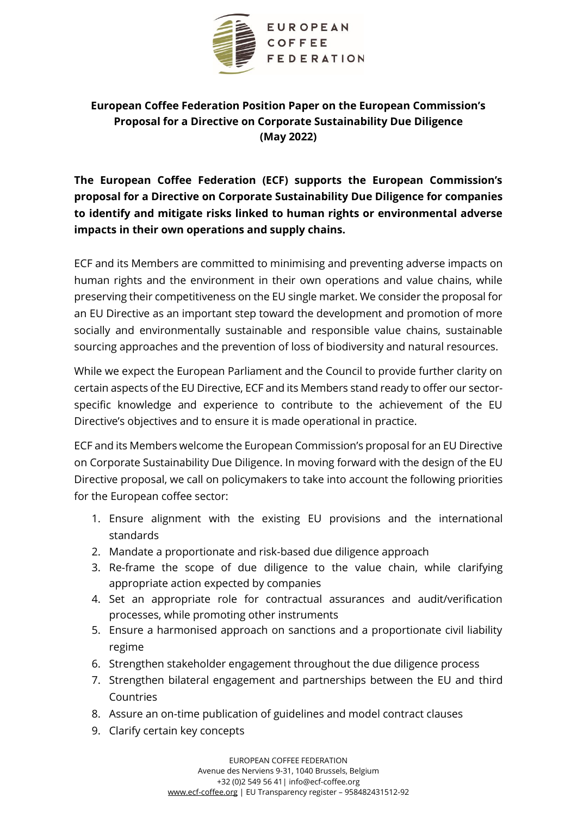

# **European Coffee Federation Position Paper on the European Commission's Proposal for a Directive on Corporate Sustainability Due Diligence (May 2022)**

**The European Coffee Federation (ECF) supports the European Commission's proposal for a Directive on Corporate Sustainability Due Diligence for companies to identify and mitigate risks linked to human rights or environmental adverse impacts in their own operations and supply chains.** 

ECF and its Members are committed to minimising and preventing adverse impacts on human rights and the environment in their own operations and value chains, while preserving their competitiveness on the EU single market. We consider the proposal for an EU Directive as an important step toward the development and promotion of more socially and environmentally sustainable and responsible value chains, sustainable sourcing approaches and the prevention of loss of biodiversity and natural resources.

While we expect the European Parliament and the Council to provide further clarity on certain aspects of the EU Directive, ECF and its Members stand ready to offer our sectorspecific knowledge and experience to contribute to the achievement of the EU Directive's objectives and to ensure it is made operational in practice.

ECF and its Members welcome the European Commission's proposal for an EU Directive on Corporate Sustainability Due Diligence. In moving forward with the design of the EU Directive proposal, we call on policymakers to take into account the following priorities for the European coffee sector:

- 1. Ensure alignment with the existing EU provisions and the international standards
- 2. Mandate a proportionate and risk-based due diligence approach
- 3. Re-frame the scope of due diligence to the value chain, while clarifying appropriate action expected by companies
- 4. Set an appropriate role for contractual assurances and audit/verification processes, while promoting other instruments
- 5. Ensure a harmonised approach on sanctions and a proportionate civil liability regime
- 6. Strengthen stakeholder engagement throughout the due diligence process
- 7. Strengthen bilateral engagement and partnerships between the EU and third Countries
- 8. Assure an on-time publication of guidelines and model contract clauses
- 9. Clarify certain key concepts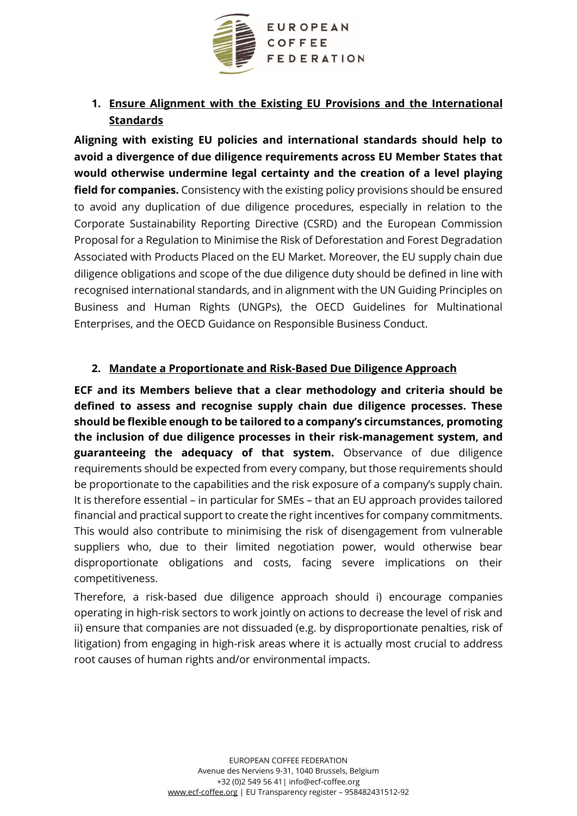

# **1. Ensure Alignment with the Existing EU Provisions and the International Standards**

**Aligning with existing EU policies and international standards should help to avoid a divergence of due diligence requirements across EU Member States that would otherwise undermine legal certainty and the creation of a level playing field for companies.** Consistency with the existing policy provisions should be ensured to avoid any duplication of due diligence procedures, especially in relation to the Corporate Sustainability Reporting Directive (CSRD) and the European Commission Proposal for a Regulation to Minimise the Risk of Deforestation and Forest Degradation Associated with Products Placed on the EU Market. Moreover, the EU supply chain due diligence obligations and scope of the due diligence duty should be defined in line with recognised international standards, and in alignment with the UN Guiding Principles on Business and Human Rights (UNGPs), the OECD Guidelines for Multinational Enterprises, and the OECD Guidance on Responsible Business Conduct.

#### **2. Mandate a Proportionate and Risk-Based Due Diligence Approach**

**ECF and its Members believe that a clear methodology and criteria should be defined to assess and recognise supply chain due diligence processes. These should be flexible enough to be tailored to a company's circumstances, promoting the inclusion of due diligence processes in their risk-management system, and guaranteeing the adequacy of that system.** Observance of due diligence requirements should be expected from every company, but those requirements should be proportionate to the capabilities and the risk exposure of a company's supply chain. It is therefore essential – in particular for SMEs – that an EU approach provides tailored financial and practical support to create the right incentives for company commitments. This would also contribute to minimising the risk of disengagement from vulnerable suppliers who, due to their limited negotiation power, would otherwise bear disproportionate obligations and costs, facing severe implications on their competitiveness.

Therefore, a risk-based due diligence approach should i) encourage companies operating in high-risk sectors to work jointly on actions to decrease the level of risk and ii) ensure that companies are not dissuaded (e.g. by disproportionate penalties, risk of litigation) from engaging in high-risk areas where it is actually most crucial to address root causes of human rights and/or environmental impacts.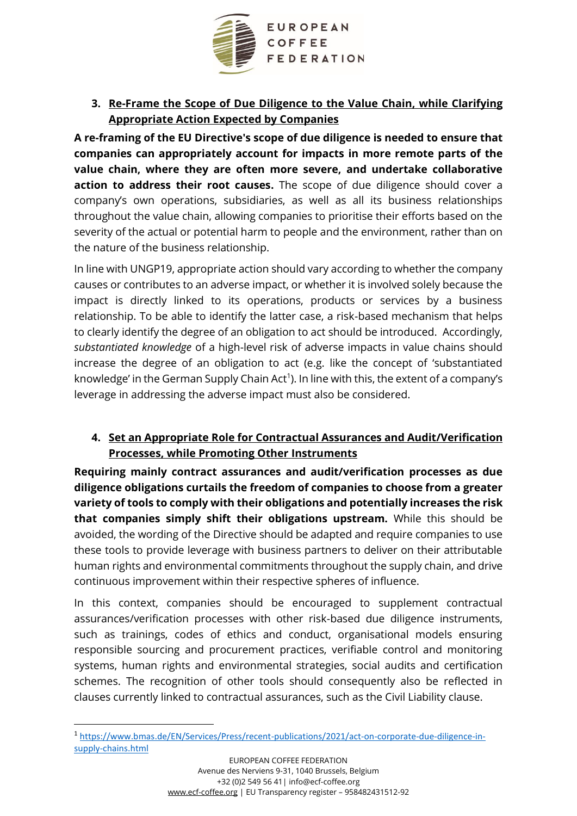

#### **3. Re-Frame the Scope of Due Diligence to the Value Chain, while Clarifying Appropriate Action Expected by Companies**

**A re-framing of the EU Directive's scope of due diligence is needed to ensure that companies can appropriately account for impacts in more remote parts of the value chain, where they are often more severe, and undertake collaborative action to address their root causes.** The scope of due diligence should cover a company's own operations, subsidiaries, as well as all its business relationships throughout the value chain, allowing companies to prioritise their efforts based on the severity of the actual or potential harm to people and the environment, rather than on the nature of the business relationship.

In line with UNGP19, appropriate action should vary according to whether the company causes or contributes to an adverse impact, or whether it is involved solely because the impact is directly linked to its operations, products or services by a business relationship. To be able to identify the latter case, a risk-based mechanism that helps to clearly identify the degree of an obligation to act should be introduced. Accordingly, *substantiated knowledge* of a high-level risk of adverse impacts in value chains should increase the degree of an obligation to act (e.g. like the concept of 'substantiated knowledge' in the German Supply Chain Act<sup>1</sup>). In line with this, the extent of a company's leverage in addressing the adverse impact must also be considered.

## **4. Set an Appropriate Role for Contractual Assurances and Audit/Verification Processes, while Promoting Other Instruments**

**Requiring mainly contract assurances and audit/verification processes as due diligence obligations curtails the freedom of companies to choose from a greater variety of tools to comply with their obligations and potentially increases the risk that companies simply shift their obligations upstream.** While this should be avoided, the wording of the Directive should be adapted and require companies to use these tools to provide leverage with business partners to deliver on their attributable human rights and environmental commitments throughout the supply chain, and drive continuous improvement within their respective spheres of influence.

In this context, companies should be encouraged to supplement contractual assurances/verification processes with other risk-based due diligence instruments, such as trainings, codes of ethics and conduct, organisational models ensuring responsible sourcing and procurement practices, verifiable control and monitoring systems, human rights and environmental strategies, social audits and certification schemes. The recognition of other tools should consequently also be reflected in clauses currently linked to contractual assurances, such as the Civil Liability clause.

<sup>1</sup> [https://www.bmas.de/EN/Services/Press/recent-publications/2021/act-on-corporate-due-diligence-in](https://www.bmas.de/EN/Services/Press/recent-publications/2021/act-on-corporate-due-diligence-in-supply-chains.html)[supply-chains.html](https://www.bmas.de/EN/Services/Press/recent-publications/2021/act-on-corporate-due-diligence-in-supply-chains.html)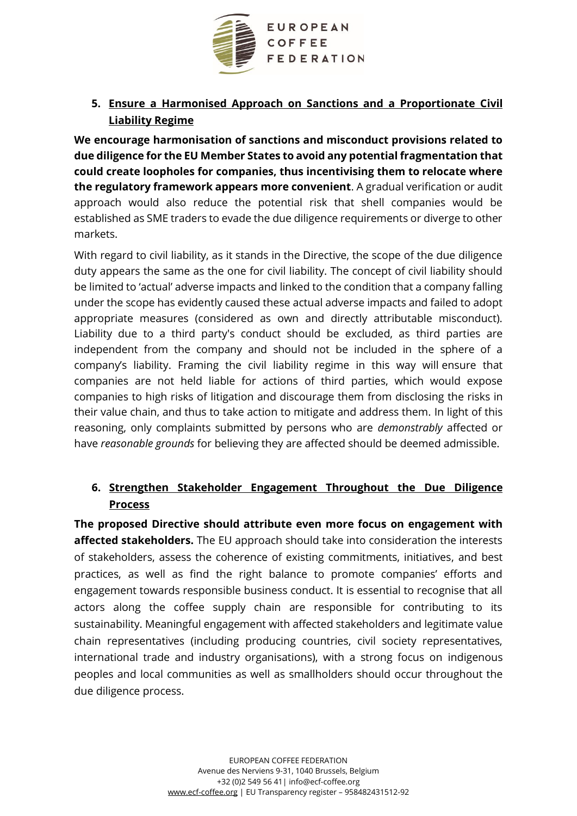

**5. Ensure a Harmonised Approach on Sanctions and a Proportionate Civil Liability Regime**

**We encourage harmonisation of sanctions and misconduct provisions related to due diligence for the EU Member States to avoid any potential fragmentation that could create loopholes for companies, thus incentivising them to relocate where the regulatory framework appears more convenient**. A gradual verification or audit approach would also reduce the potential risk that shell companies would be established as SME traders to evade the due diligence requirements or diverge to other markets.

With regard to civil liability, as it stands in the Directive, the scope of the due diligence duty appears the same as the one for civil liability. The concept of civil liability should be limited to 'actual' adverse impacts and linked to the condition that a company falling under the scope has evidently caused these actual adverse impacts and failed to adopt appropriate measures (considered as own and directly attributable misconduct). Liability due to a third party's conduct should be excluded, as third parties are independent from the company and should not be included in the sphere of a company's liability. Framing the civil liability regime in this way will ensure that companies are not held liable for actions of third parties, which would expose companies to high risks of litigation and discourage them from disclosing the risks in their value chain, and thus to take action to mitigate and address them. In light of this reasoning, only complaints submitted by persons who are *demonstrably* affected or have *reasonable grounds* for believing they are affected should be deemed admissible.

## **6. Strengthen Stakeholder Engagement Throughout the Due Diligence Process**

**The proposed Directive should attribute even more focus on engagement with affected stakeholders.** The EU approach should take into consideration the interests of stakeholders, assess the coherence of existing commitments, initiatives, and best practices, as well as find the right balance to promote companies' efforts and engagement towards responsible business conduct. It is essential to recognise that all actors along the coffee supply chain are responsible for contributing to its sustainability. Meaningful engagement with affected stakeholders and legitimate value chain representatives (including producing countries, civil society representatives, international trade and industry organisations), with a strong focus on indigenous peoples and local communities as well as smallholders should occur throughout the due diligence process.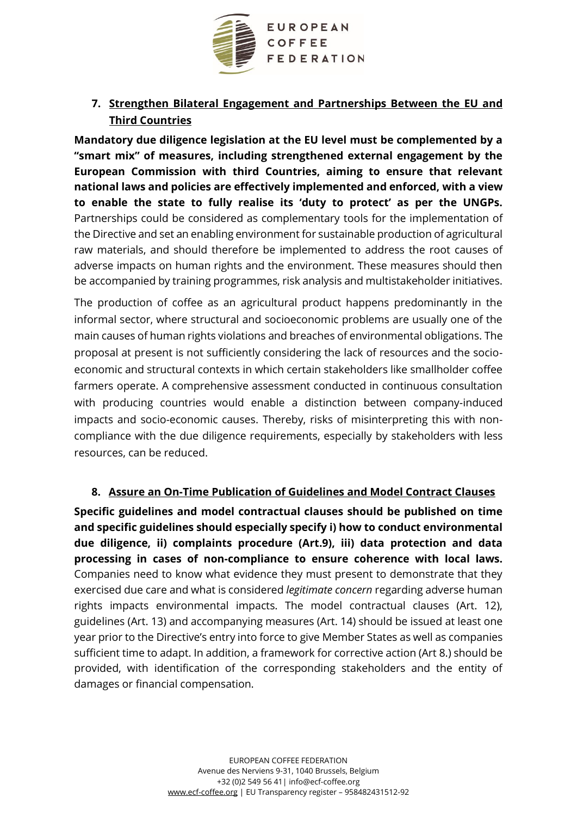

# **7. Strengthen Bilateral Engagement and Partnerships Between the EU and Third Countries**

**Mandatory due diligence legislation at the EU level must be complemented by a "smart mix" of measures, including strengthened external engagement by the European Commission with third Countries, aiming to ensure that relevant national laws and policies are effectively implemented and enforced, with a view to enable the state to fully realise its 'duty to protect' as per the UNGPs.**  Partnerships could be considered as complementary tools for the implementation of the Directive and set an enabling environment for sustainable production of agricultural raw materials, and should therefore be implemented to address the root causes of adverse impacts on human rights and the environment. These measures should then be accompanied by training programmes, risk analysis and multistakeholder initiatives.

The production of coffee as an agricultural product happens predominantly in the informal sector, where structural and socioeconomic problems are usually one of the main causes of human rights violations and breaches of environmental obligations. The proposal at present is not sufficiently considering the lack of resources and the socioeconomic and structural contexts in which certain stakeholders like smallholder coffee farmers operate. A comprehensive assessment conducted in continuous consultation with producing countries would enable a distinction between company-induced impacts and socio-economic causes. Thereby, risks of misinterpreting this with noncompliance with the due diligence requirements, especially by stakeholders with less resources, can be reduced.

# **8. Assure an On-Time Publication of Guidelines and Model Contract Clauses**

**Specific guidelines and model contractual clauses should be published on time and specific guidelines should especially specify i) how to conduct environmental due diligence, ii) complaints procedure (Art.9), iii) data protection and data processing in cases of non-compliance to ensure coherence with local laws.**  Companies need to know what evidence they must present to demonstrate that they exercised due care and what is considered *legitimate concern* regarding adverse human rights impacts environmental impacts. The model contractual clauses (Art. 12), guidelines (Art. 13) and accompanying measures (Art. 14) should be issued at least one year prior to the Directive's entry into force to give Member States as well as companies sufficient time to adapt. In addition, a framework for corrective action (Art 8.) should be provided, with identification of the corresponding stakeholders and the entity of damages or financial compensation.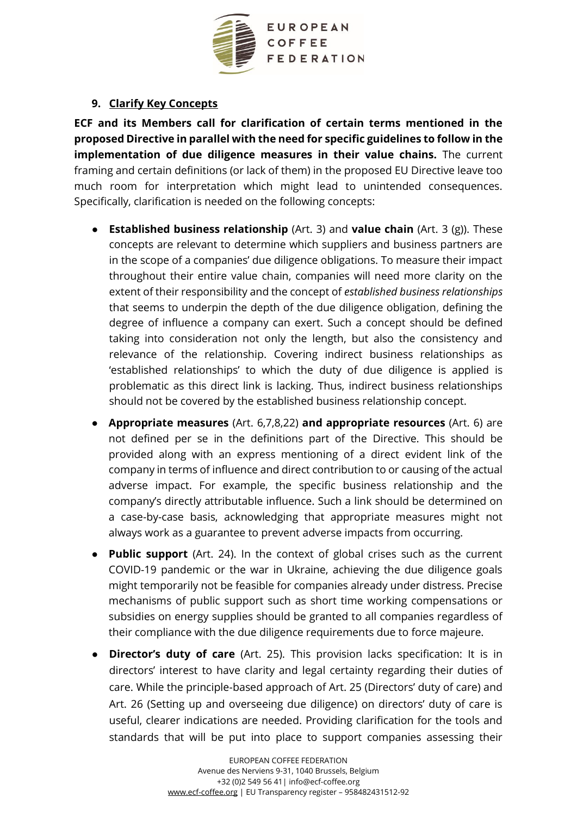

#### **9. Clarify Key Concepts**

**ECF and its Members call for clarification of certain terms mentioned in the proposed Directive in parallel with the need for specific guidelines to follow in the implementation of due diligence measures in their value chains.** The current framing and certain definitions (or lack of them) in the proposed EU Directive leave too much room for interpretation which might lead to unintended consequences. Specifically, clarification is needed on the following concepts:

- **Established business relationship** (Art. 3) and **value chain** (Art. 3 (g)). These concepts are relevant to determine which suppliers and business partners are in the scope of a companies' due diligence obligations. To measure their impact throughout their entire value chain, companies will need more clarity on the extent of their responsibility and the concept of *established business relationships* that seems to underpin the depth of the due diligence obligation, defining the degree of influence a company can exert. Such a concept should be defined taking into consideration not only the length, but also the consistency and relevance of the relationship. Covering indirect business relationships as 'established relationships' to which the duty of due diligence is applied is problematic as this direct link is lacking. Thus, indirect business relationships should not be covered by the established business relationship concept.
- **Appropriate measures** (Art. 6,7,8,22) **and appropriate resources** (Art. 6) are not defined per se in the definitions part of the Directive. This should be provided along with an express mentioning of a direct evident link of the company in terms of influence and direct contribution to or causing of the actual adverse impact. For example, the specific business relationship and the company's directly attributable influence. Such a link should be determined on a case-by-case basis, acknowledging that appropriate measures might not always work as a guarantee to prevent adverse impacts from occurring.
- **Public support** (Art. 24). In the context of global crises such as the current COVID-19 pandemic or the war in Ukraine, achieving the due diligence goals might temporarily not be feasible for companies already under distress. Precise mechanisms of public support such as short time working compensations or subsidies on energy supplies should be granted to all companies regardless of their compliance with the due diligence requirements due to force majeure.
- **Director's duty of care** (Art. 25). This provision lacks specification: It is in directors' interest to have clarity and legal certainty regarding their duties of care. While the principle-based approach of Art. 25 (Directors' duty of care) and Art. 26 (Setting up and overseeing due diligence) on directors' duty of care is useful, clearer indications are needed. Providing clarification for the tools and standards that will be put into place to support companies assessing their